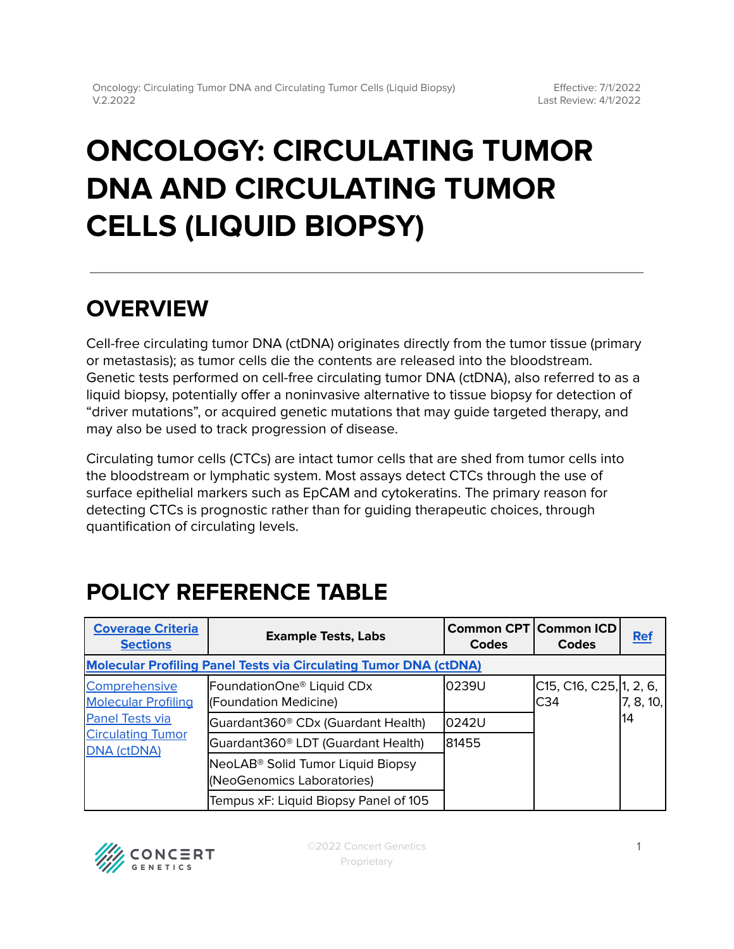# **ONCOLOGY: CIRCULATING TUMOR DNA AND CIRCULATING TUMOR CELLS (LIQUID BIOPSY)**

# **OVERVIEW**

Cell-free circulating tumor DNA (ctDNA) originates directly from the tumor tissue (primary or metastasis); as tumor cells die the contents are released into the bloodstream. Genetic tests performed on cell-free circulating tumor DNA (ctDNA), also referred to as a liquid biopsy, potentially offer a noninvasive alternative to tissue biopsy for detection of "driver mutations", or acquired genetic mutations that may guide targeted therapy, and may also be used to track progression of disease.

Circulating tumor cells (CTCs) are intact tumor cells that are shed from tumor cells into the bloodstream or lymphatic system. Most assays detect CTCs through the use of surface epithelial markers such as EpCAM and cytokeratins. The primary reason for detecting CTCs is prognostic rather than for guiding therapeutic choices, through quantification of circulating levels.

# <span id="page-0-0"></span>**POLICY REFERENCE TABLE**

| <b>Coverage Criteria</b><br><b>Sections</b>                                                                             | <b>Example Tests, Labs</b>                                      | Common CPT Common ICD<br><b>Codes</b> | <b>Codes</b>                   | <b>Ref</b>      |  |  |  |
|-------------------------------------------------------------------------------------------------------------------------|-----------------------------------------------------------------|---------------------------------------|--------------------------------|-----------------|--|--|--|
| <b>Molecular Profiling Panel Tests via Circulating Tumor DNA (ctDNA)</b>                                                |                                                                 |                                       |                                |                 |  |  |  |
| Comprehensive<br><b>Molecular Profiling</b><br><b>Panel Tests via</b><br><b>Circulating Tumor</b><br><b>DNA (ctDNA)</b> | FoundationOne <sup>®</sup> Liquid CDx<br>(Foundation Medicine)  | 0239U                                 | C15, C16, C25, 1, 2, 6,<br>C34 | 7, 8, 10,<br>14 |  |  |  |
|                                                                                                                         | Guardant360 <sup>®</sup> CDx (Guardant Health)                  | l0242U                                |                                |                 |  |  |  |
|                                                                                                                         | Guardant360 <sup>®</sup> LDT (Guardant Health)                  | 81455                                 |                                |                 |  |  |  |
|                                                                                                                         | NeoLAB® Solid Tumor Liquid Biopsy<br>(NeoGenomics Laboratories) |                                       |                                |                 |  |  |  |
|                                                                                                                         | Tempus xF: Liquid Biopsy Panel of 105                           |                                       |                                |                 |  |  |  |

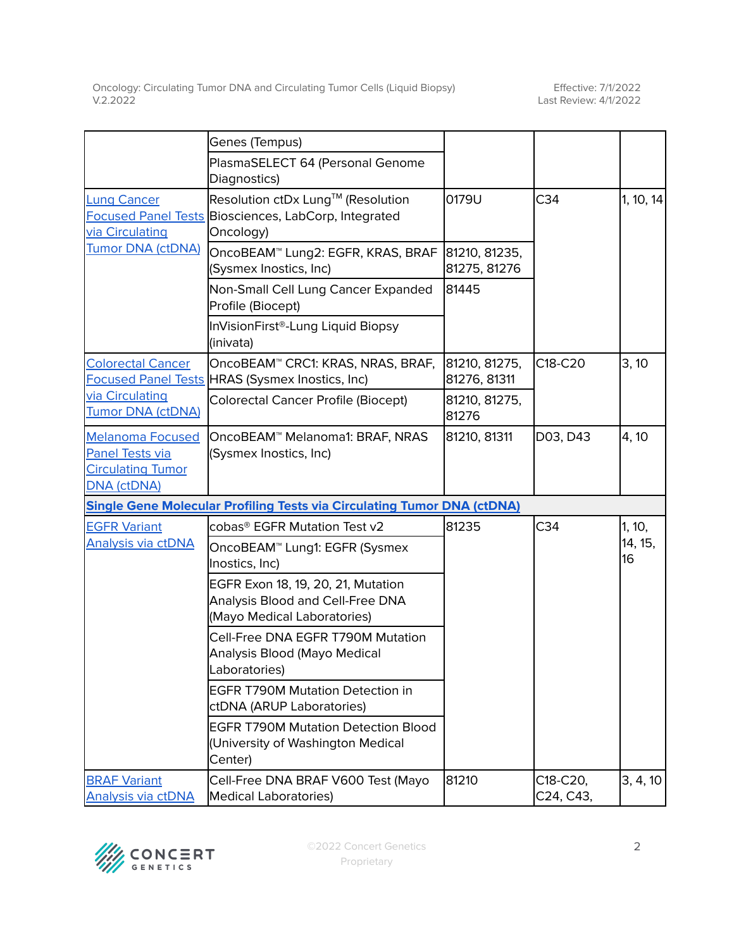|                                                                                              | Genes (Tempus)                                                                                                |                               |                       |               |
|----------------------------------------------------------------------------------------------|---------------------------------------------------------------------------------------------------------------|-------------------------------|-----------------------|---------------|
|                                                                                              | PlasmaSELECT 64 (Personal Genome<br>Diagnostics)                                                              |                               |                       |               |
| <b>Lung Cancer</b><br>via Circulating                                                        | Resolution ctDx Lung™ (Resolution<br><b>Focused Panel Tests Biosciences, LabCorp, Integrated</b><br>Oncology) | 0179U                         | C <sub>34</sub>       | 1, 10, 14     |
| <b>Tumor DNA (ctDNA)</b>                                                                     | OncoBEAM™ Lung2: EGFR, KRAS, BRAF<br>(Sysmex Inostics, Inc)                                                   | 81210, 81235,<br>81275, 81276 |                       |               |
|                                                                                              | Non-Small Cell Lung Cancer Expanded<br>Profile (Biocept)                                                      | 81445                         |                       |               |
|                                                                                              | InVisionFirst®-Lung Liquid Biopsy<br>(inivata)                                                                |                               |                       |               |
| <b>Colorectal Cancer</b>                                                                     | OncoBEAM <sup>™</sup> CRC1: KRAS, NRAS, BRAF,<br>Focused Panel Tests HRAS (Sysmex Inostics, Inc)              | 81210, 81275,<br>81276, 81311 | C18-C20               | 3, 10         |
| via Circulating<br><b>Tumor DNA (ctDNA)</b>                                                  | <b>Colorectal Cancer Profile (Biocept)</b>                                                                    | 81210, 81275,<br>81276        |                       |               |
| <b>Melanoma Focused</b><br>Panel Tests via<br><b>Circulating Tumor</b><br><b>DNA (ctDNA)</b> | OncoBEAM <sup>™</sup> Melanoma1: BRAF, NRAS<br>(Sysmex Inostics, Inc)                                         | 81210, 81311                  | D03, D43              | 4, 10         |
|                                                                                              | <b>Single Gene Molecular Profiling Tests via Circulating Tumor DNA (ctDNA)</b>                                |                               |                       |               |
| <b>EGFR Variant</b>                                                                          | cobas® EGFR Mutation Test v2                                                                                  | 81235                         | C <sub>34</sub>       | 1, 10,        |
| Analysis via ctDNA                                                                           | OncoBEAM <sup>™</sup> Lung1: EGFR (Sysmex<br>Inostics, Inc)                                                   |                               |                       | 14, 15,<br>16 |
|                                                                                              | EGFR Exon 18, 19, 20, 21, Mutation<br>Analysis Blood and Cell-Free DNA<br>(Mayo Medical Laboratories)         |                               |                       |               |
|                                                                                              | Cell-Free DNA EGFR T790M Mutation<br>Analysis Blood (Mayo Medical<br>Laboratories)                            |                               |                       |               |
|                                                                                              | <b>EGFR T790M Mutation Detection in</b><br>ctDNA (ARUP Laboratories)                                          |                               |                       |               |
|                                                                                              | <b>EGFR T790M Mutation Detection Blood</b><br>(University of Washington Medical<br>Center)                    |                               |                       |               |
| <b>BRAF Variant</b><br><b>Analysis via ctDNA</b>                                             | Cell-Free DNA BRAF V600 Test (Mayo<br><b>Medical Laboratories)</b>                                            | 81210                         | C18-C20,<br>C24, C43, | 3, 4, 10      |

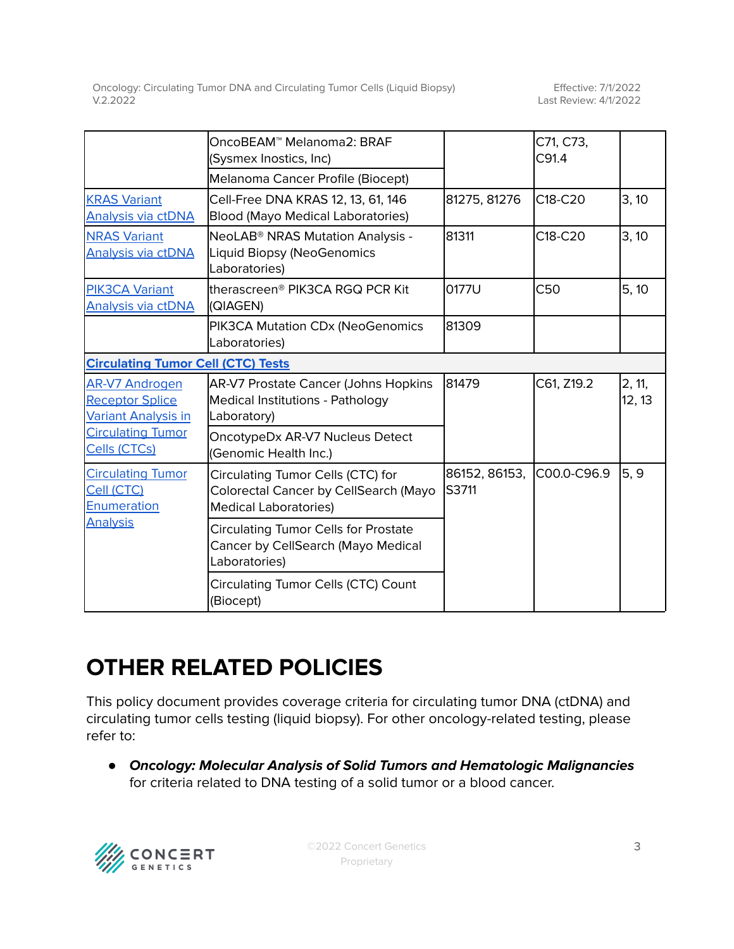|                                                                                 | OncoBEAM™ Melanoma2: BRAF<br>(Sysmex Inostics, Inc)                                                        |                        | C71, C73,<br>C91.4               |                  |  |  |  |
|---------------------------------------------------------------------------------|------------------------------------------------------------------------------------------------------------|------------------------|----------------------------------|------------------|--|--|--|
|                                                                                 | Melanoma Cancer Profile (Biocept)                                                                          |                        |                                  |                  |  |  |  |
| <b>KRAS Variant</b><br>Analysis via ctDNA                                       | Cell-Free DNA KRAS 12, 13, 61, 146<br><b>Blood (Mayo Medical Laboratories)</b>                             | 81275, 81276           | C18-C20                          | 3, 10            |  |  |  |
| <b>NRAS Variant</b><br><b>Analysis via ctDNA</b>                                | NeoLAB <sup>®</sup> NRAS Mutation Analysis -<br>Liquid Biopsy (NeoGenomics<br>Laboratories)                | 81311                  | C <sub>18</sub> -C <sub>20</sub> | 3, 10            |  |  |  |
| <b>PIK3CA Variant</b><br>Analysis via ctDNA                                     | therascreen® PIK3CA RGQ PCR Kit<br>(QIAGEN)                                                                | 0177U                  | C50                              | 5, 10            |  |  |  |
|                                                                                 | PIK3CA Mutation CDx (NeoGenomics<br>Laboratories)                                                          | 81309                  |                                  |                  |  |  |  |
|                                                                                 | <b>Circulating Tumor Cell (CTC) Tests</b>                                                                  |                        |                                  |                  |  |  |  |
| <b>AR-V7 Androgen</b><br><b>Receptor Splice</b><br><b>Variant Analysis in</b>   | AR-V7 Prostate Cancer (Johns Hopkins<br>Medical Institutions - Pathology<br>Laboratory)                    | 81479                  | C61, Z19.2                       | 2, 11,<br>12, 13 |  |  |  |
| <b>Circulating Tumor</b><br>Cells (CTCs)                                        | OncotypeDx AR-V7 Nucleus Detect<br>(Genomic Health Inc.)                                                   |                        |                                  |                  |  |  |  |
| <b>Circulating Tumor</b><br>Cell (CTC)<br><b>Enumeration</b><br><b>Analysis</b> | Circulating Tumor Cells (CTC) for<br>Colorectal Cancer by CellSearch (Mayo<br><b>Medical Laboratories)</b> | 86152, 86153,<br>S3711 | C00.0-C96.9                      | 5, 9             |  |  |  |
|                                                                                 | <b>Circulating Tumor Cells for Prostate</b><br>Cancer by CellSearch (Mayo Medical<br>Laboratories)         |                        |                                  |                  |  |  |  |
|                                                                                 | <b>Circulating Tumor Cells (CTC) Count</b><br>(Biocept)                                                    |                        |                                  |                  |  |  |  |

# **OTHER RELATED POLICIES**

This policy document provides coverage criteria for circulating tumor DNA (ctDNA) and circulating tumor cells testing (liquid biopsy). For other oncology-related testing, please refer to:

● **Oncology: Molecular Analysis of Solid Tumors and Hematologic Malignancies** for criteria related to DNA testing of a solid tumor or a blood cancer.

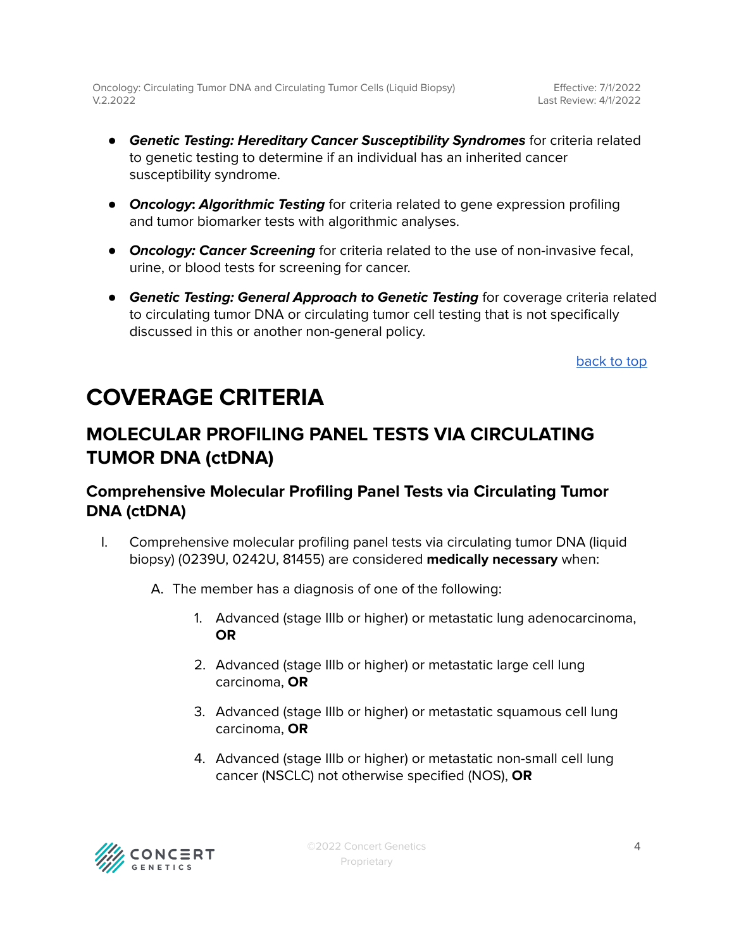Effective: 7/1/2022 Last Review: 4/1/2022

- **Genetic Testing: Hereditary Cancer Susceptibility Syndromes** for criteria related to genetic testing to determine if an individual has an inherited cancer susceptibility syndrome.
- **Oncology: Algorithmic Testing** for criteria related to gene expression profiling and tumor biomarker tests with algorithmic analyses.
- **Oncology: Cancer Screening** for criteria related to the use of non-invasive fecal, urine, or blood tests for screening for cancer.
- **Genetic Testing: General Approach to Genetic Testing** for coverage criteria related to circulating tumor DNA or circulating tumor cell testing that is not specifically discussed in this or another non-general policy.

[back](#page-0-0) to top

# <span id="page-3-0"></span>**COVERAGE CRITERIA**

### <span id="page-3-1"></span>**MOLECULAR PROFILING PANEL TESTS VIA CIRCULATING TUMOR DNA (ctDNA)**

### <span id="page-3-2"></span>**Comprehensive Molecular Profiling Panel Tests via Circulating Tumor DNA (ctDNA)**

- I. Comprehensive molecular profiling panel tests via circulating tumor DNA (liquid biopsy) (0239U, 0242U, 81455) are considered **medically necessary** when:
	- A. The member has a diagnosis of one of the following:
		- 1. Advanced (stage IIIb or higher) or metastatic lung adenocarcinoma, **OR**
		- 2. Advanced (stage IIIb or higher) or metastatic large cell lung carcinoma, **OR**
		- 3. Advanced (stage IIIb or higher) or metastatic squamous cell lung carcinoma, **OR**
		- 4. Advanced (stage IIIb or higher) or metastatic non-small cell lung cancer (NSCLC) not otherwise specified (NOS), **OR**

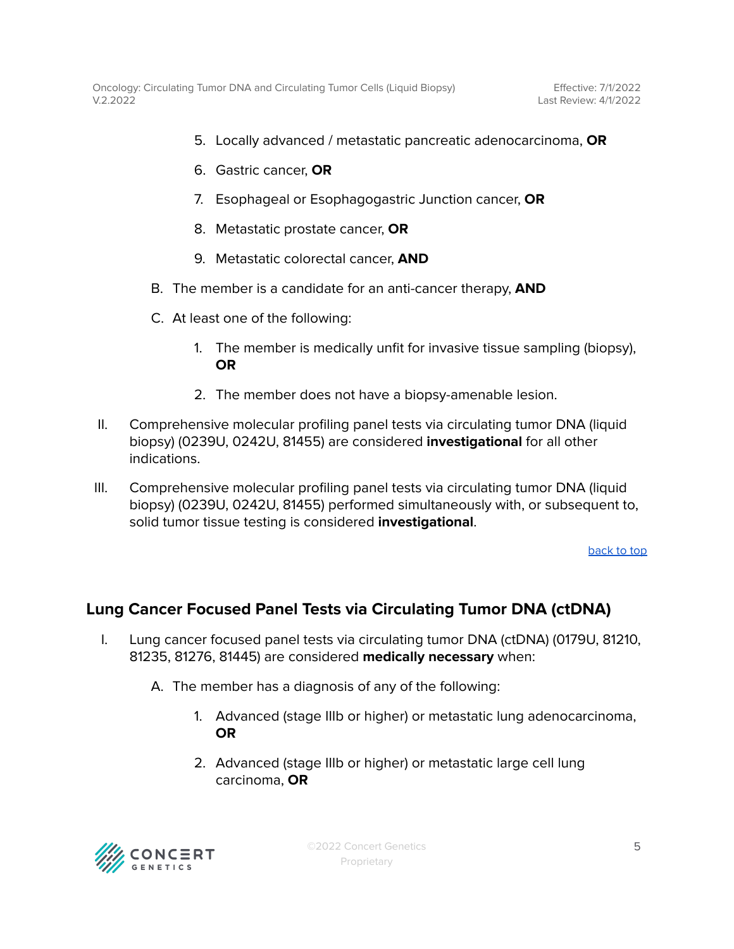- 5. Locally advanced / metastatic pancreatic adenocarcinoma, **OR**
- 6. Gastric cancer, **OR**
- 7. Esophageal or Esophagogastric Junction cancer, **OR**
- 8. Metastatic prostate cancer, **OR**
- 9. Metastatic colorectal cancer, **AND**
- B. The member is a candidate for an anti-cancer therapy, **AND**
- C. At least one of the following:
	- 1. The member is medically unfit for invasive tissue sampling (biopsy), **OR**
	- 2. The member does not have a biopsy-amenable lesion.
- II. Comprehensive molecular profiling panel tests via circulating tumor DNA (liquid biopsy) (0239U, 0242U, 81455) are considered **investigational** for all other indications.
- III. Comprehensive molecular profiling panel tests via circulating tumor DNA (liquid biopsy) (0239U, 0242U, 81455) performed simultaneously with, or subsequent to, solid tumor tissue testing is considered **investigational**.

[back](#page-0-0) to top

### <span id="page-4-0"></span>**Lung Cancer Focused Panel Tests via Circulating Tumor DNA (ctDNA)**

- I. Lung cancer focused panel tests via circulating tumor DNA (ctDNA) (0179U, 81210, 81235, 81276, 81445) are considered **medically necessary** when:
	- A. The member has a diagnosis of any of the following:
		- 1. Advanced (stage IIIb or higher) or metastatic lung adenocarcinoma, **OR**
		- 2. Advanced (stage IIIb or higher) or metastatic large cell lung carcinoma, **OR**

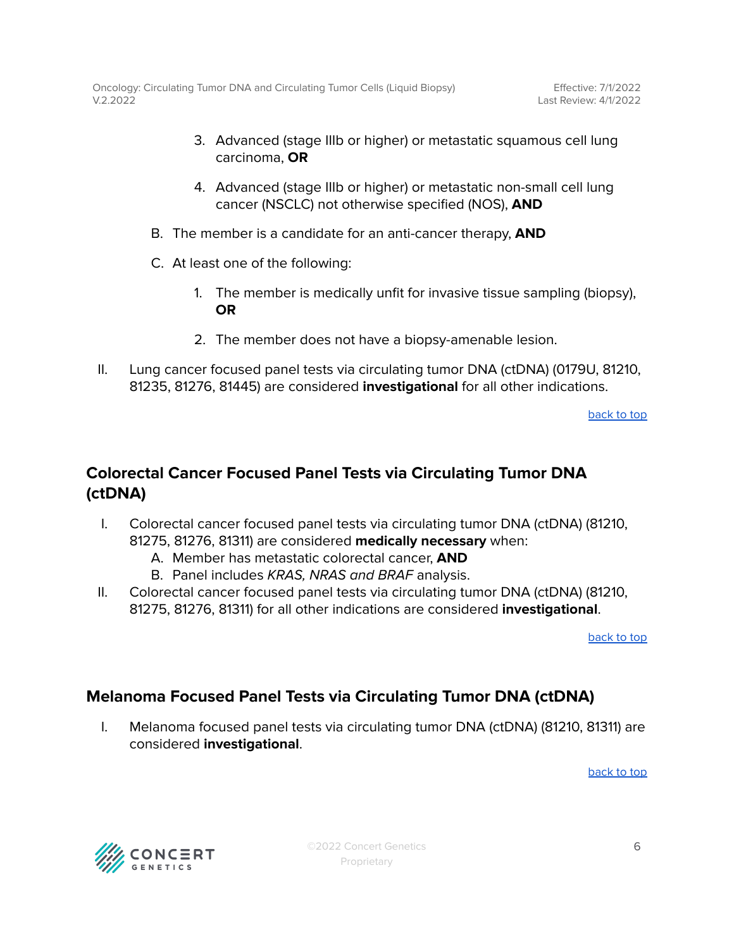- 3. Advanced (stage IIIb or higher) or metastatic squamous cell lung carcinoma, **OR**
- 4. Advanced (stage IIIb or higher) or metastatic non-small cell lung cancer (NSCLC) not otherwise specified (NOS), **AND**
- B. The member is a candidate for an anti-cancer therapy, **AND**
- C. At least one of the following:
	- 1. The member is medically unfit for invasive tissue sampling (biopsy), **OR**
	- 2. The member does not have a biopsy-amenable lesion.
- II. Lung cancer focused panel tests via circulating tumor DNA (ctDNA) (0179U, 81210, 81235, 81276, 81445) are considered **investigational** for all other indications.

[back](#page-0-0) to top

### <span id="page-5-0"></span>**Colorectal Cancer Focused Panel Tests via Circulating Tumor DNA (ctDNA)**

- I. Colorectal cancer focused panel tests via circulating tumor DNA (ctDNA) (81210, 81275, 81276, 81311) are considered **medically necessary** when:
	- A. Member has metastatic colorectal cancer, **AND**
	- B. Panel includes KRAS, NRAS and BRAF analysis.
- II. Colorectal cancer focused panel tests via circulating tumor DNA (ctDNA) (81210, 81275, 81276, 81311) for all other indications are considered **investigational**.

[back](#page-0-0) to top

### <span id="page-5-1"></span>**Melanoma Focused Panel Tests via Circulating Tumor DNA (ctDNA)**

I. Melanoma focused panel tests via circulating tumor DNA (ctDNA) (81210, 81311) are considered **investigational**.

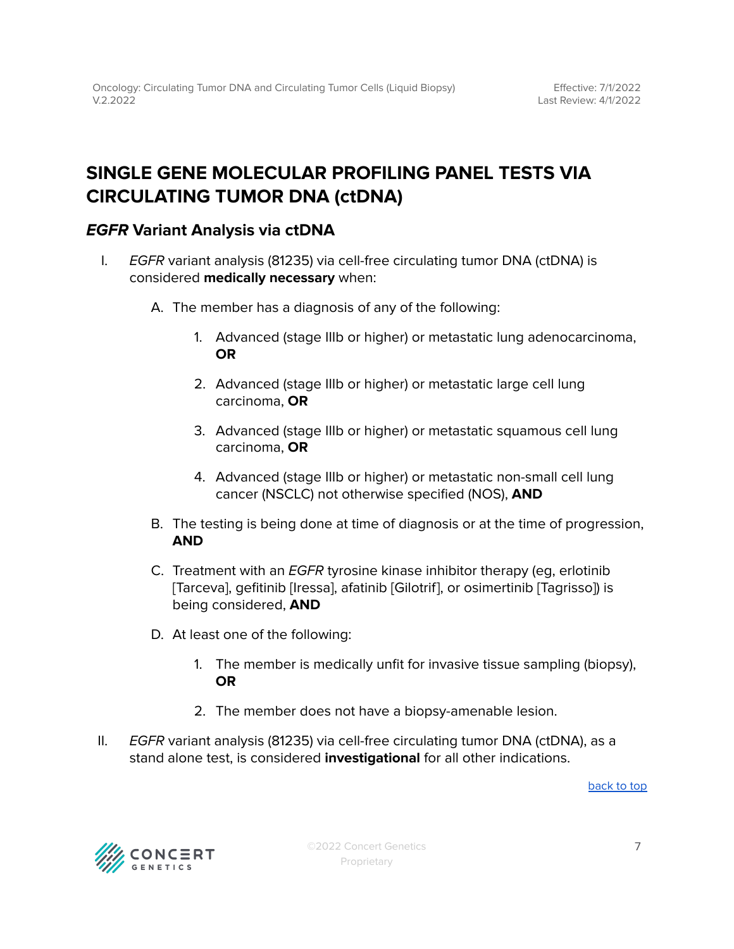### <span id="page-6-0"></span>**SINGLE GENE MOLECULAR PROFILING PANEL TESTS VIA CIRCULATING TUMOR DNA (ctDNA)**

### <span id="page-6-1"></span>**EGFR Variant Analysis via ctDNA**

- I. EGFR variant analysis (81235) via cell-free circulating tumor DNA (ctDNA) is considered **medically necessary** when:
	- A. The member has a diagnosis of any of the following:
		- 1. Advanced (stage IIIb or higher) or metastatic lung adenocarcinoma, **OR**
		- 2. Advanced (stage IIIb or higher) or metastatic large cell lung carcinoma, **OR**
		- 3. Advanced (stage IIIb or higher) or metastatic squamous cell lung carcinoma, **OR**
		- 4. Advanced (stage IIIb or higher) or metastatic non-small cell lung cancer (NSCLC) not otherwise specified (NOS), **AND**
	- B. The testing is being done at time of diagnosis or at the time of progression, **AND**
	- C. Treatment with an EGFR tyrosine kinase inhibitor therapy (eg, erlotinib [Tarceva], gefitinib [Iressa], afatinib [Gilotrif], or osimertinib [Tagrisso]) is being considered, **AND**
	- D. At least one of the following:
		- 1. The member is medically unfit for invasive tissue sampling (biopsy), **OR**
		- 2. The member does not have a biopsy-amenable lesion.
- II. EGFR variant analysis (81235) via cell-free circulating tumor DNA (ctDNA), as a stand alone test, is considered **investigational** for all other indications.

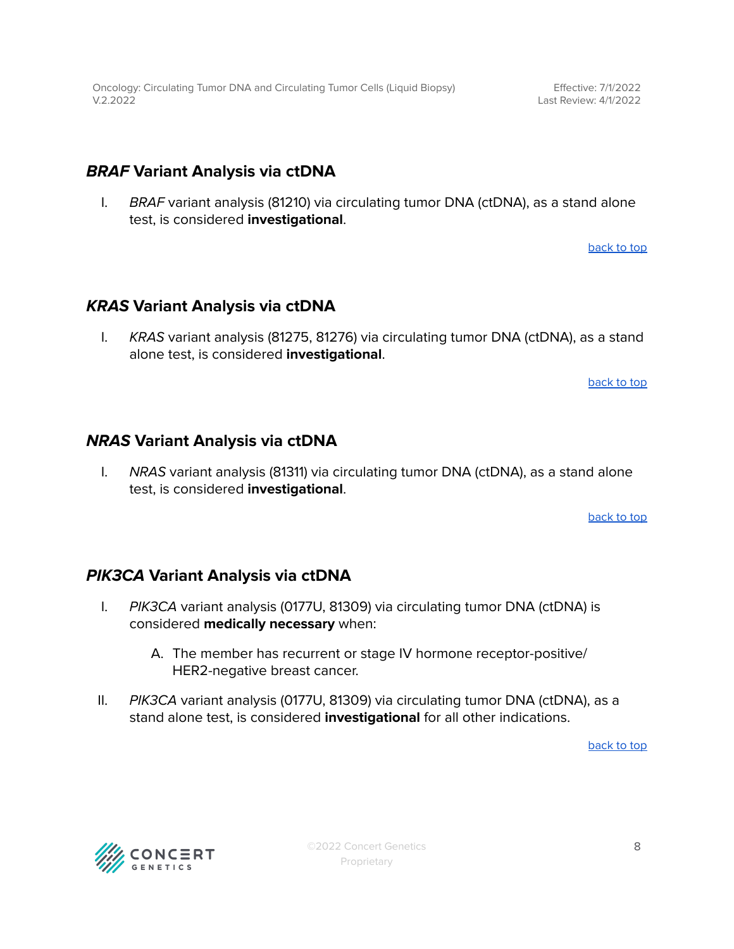### <span id="page-7-0"></span>**BRAF Variant Analysis via ctDNA**

I. BRAF variant analysis (81210) via circulating tumor DNA (ctDNA), as a stand alone test, is considered **investigational**.

[back](#page-0-0) to top

### <span id="page-7-1"></span>**KRAS Variant Analysis via ctDNA**

I. KRAS variant analysis (81275, 81276) via circulating tumor DNA (ctDNA), as a stand alone test, is considered **investigational**.

[back](#page-0-0) to top

### <span id="page-7-2"></span>**NRAS Variant Analysis via ctDNA**

I. NRAS variant analysis (81311) via circulating tumor DNA (ctDNA), as a stand alone test, is considered **investigational**.

[back](#page-0-0) to top

### <span id="page-7-3"></span>**PIK3CA Variant Analysis via ctDNA**

- I. PIK3CA variant analysis (0177U, 81309) via circulating tumor DNA (ctDNA) is considered **medically necessary** when:
	- A. The member has recurrent or stage IV hormone receptor-positive/ HER2-negative breast cancer.
- II. PIK3CA variant analysis (0177U, 81309) via circulating tumor DNA (ctDNA), as a stand alone test, is considered **investigational** for all other indications.

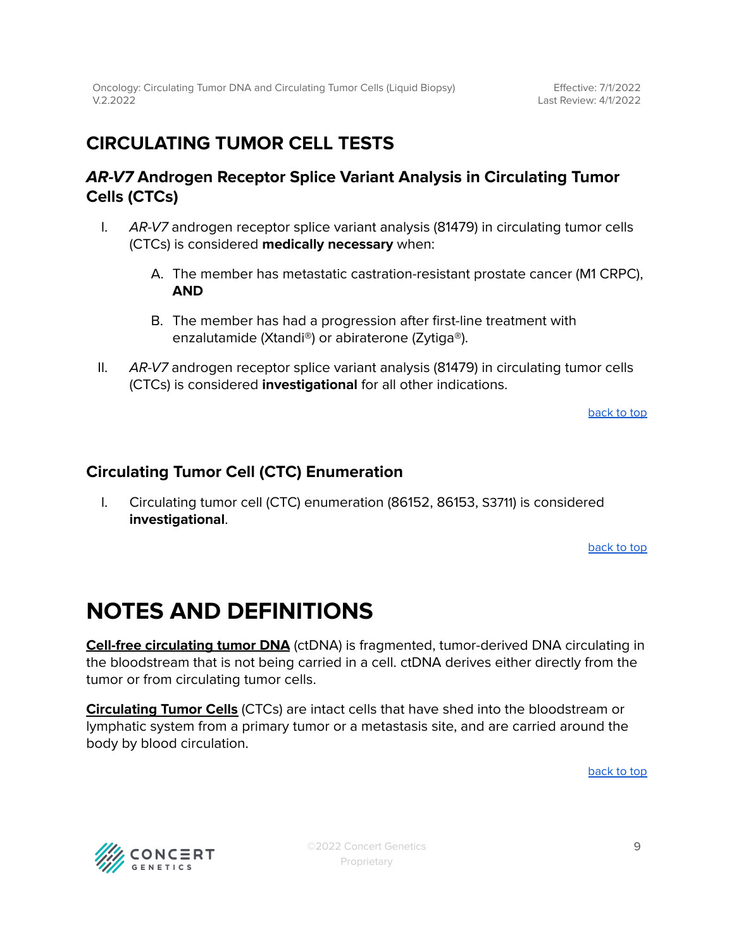### <span id="page-8-0"></span>**CIRCULATING TUMOR CELL TESTS**

### <span id="page-8-1"></span>**AR-V7 Androgen Receptor Splice Variant Analysis in Circulating Tumor Cells (CTCs)**

- I. AR-V7 androgen receptor splice variant analysis (81479) in circulating tumor cells (CTCs) is considered **medically necessary** when:
	- A. The member has metastatic castration-resistant prostate cancer (M1 CRPC), **AND**
	- B. The member has had a progression after first-line treatment with enzalutamide (Xtandi®) or abiraterone (Zytiga®).
- II. AR-V7 androgen receptor splice variant analysis (81479) in circulating tumor cells (CTCs) is considered **investigational** for all other indications.

[back](#page-0-0) to top

### <span id="page-8-2"></span>**Circulating Tumor Cell (CTC) Enumeration**

I. Circulating tumor cell (CTC) enumeration (86152, 86153, S3711) is considered **investigational**.

[back](#page-0-0) to top

### **NOTES AND DEFINITIONS**

**Cell-free circulating tumor DNA** (ctDNA) is fragmented, tumor-derived DNA circulating in the bloodstream that is not being carried in a cell. ctDNA derives either directly from the tumor or from circulating tumor cells.

**Circulating Tumor Cells** (CTCs) are intact cells that have shed into the bloodstream or lymphatic system from a primary tumor or a metastasis site, and are carried around the body by blood circulation.

[back](#page-0-0) to top



©2022 Concert Genetics Proprietary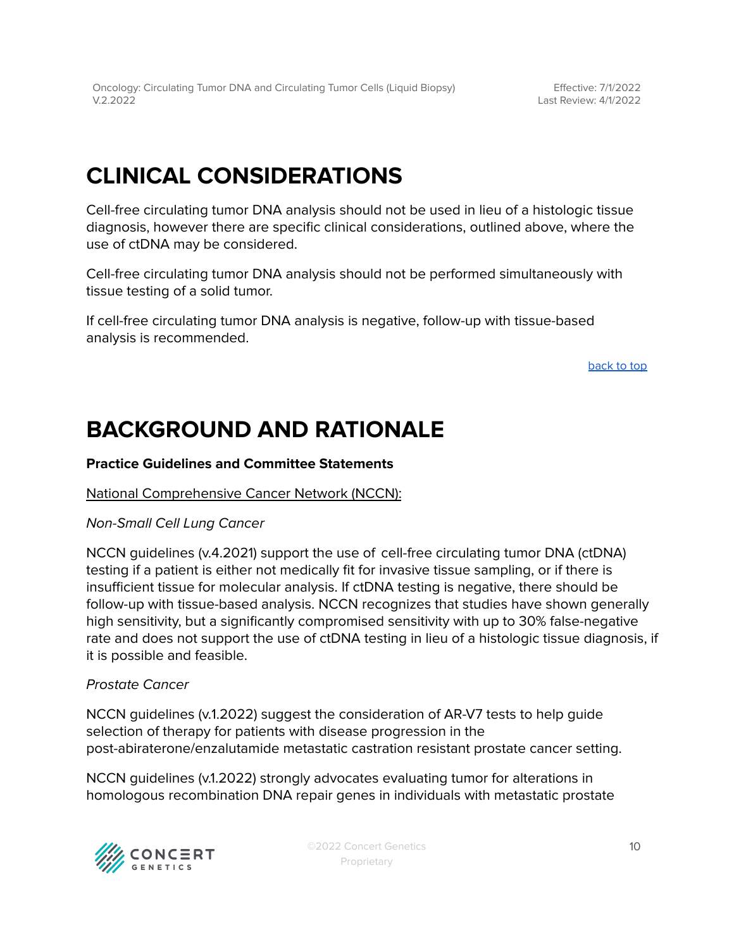# **CLINICAL CONSIDERATIONS**

Cell-free circulating tumor DNA analysis should not be used in lieu of a histologic tissue diagnosis, however there are specific clinical considerations, outlined above, where the use of ctDNA may be considered.

Cell-free circulating tumor DNA analysis should not be performed simultaneously with tissue testing of a solid tumor.

If cell-free circulating tumor DNA analysis is negative, follow-up with tissue-based analysis is recommended.

[back](#page-0-0) to top

# **BACKGROUND AND RATIONALE**

### **Practice Guidelines and Committee Statements**

#### National Comprehensive Cancer Network (NCCN):

#### Non-Small Cell Lung Cancer

NCCN guidelines (v.4.2021) support the use of cell-free circulating tumor DNA (ctDNA) testing if a patient is either not medically fit for invasive tissue sampling, or if there is insufficient tissue for molecular analysis. If ctDNA testing is negative, there should be follow-up with tissue-based analysis. NCCN recognizes that studies have shown generally high sensitivity, but a significantly compromised sensitivity with up to 30% false-negative rate and does not support the use of ctDNA testing in lieu of a histologic tissue diagnosis, if it is possible and feasible.

### Prostate Cancer

NCCN guidelines (v.1.2022) suggest the consideration of AR-V7 tests to help guide selection of therapy for patients with disease progression in the post-abiraterone/enzalutamide metastatic castration resistant prostate cancer setting.

NCCN guidelines (v.1.2022) strongly advocates evaluating tumor for alterations in homologous recombination DNA repair genes in individuals with metastatic prostate



©2022 Concert Genetics Proprietary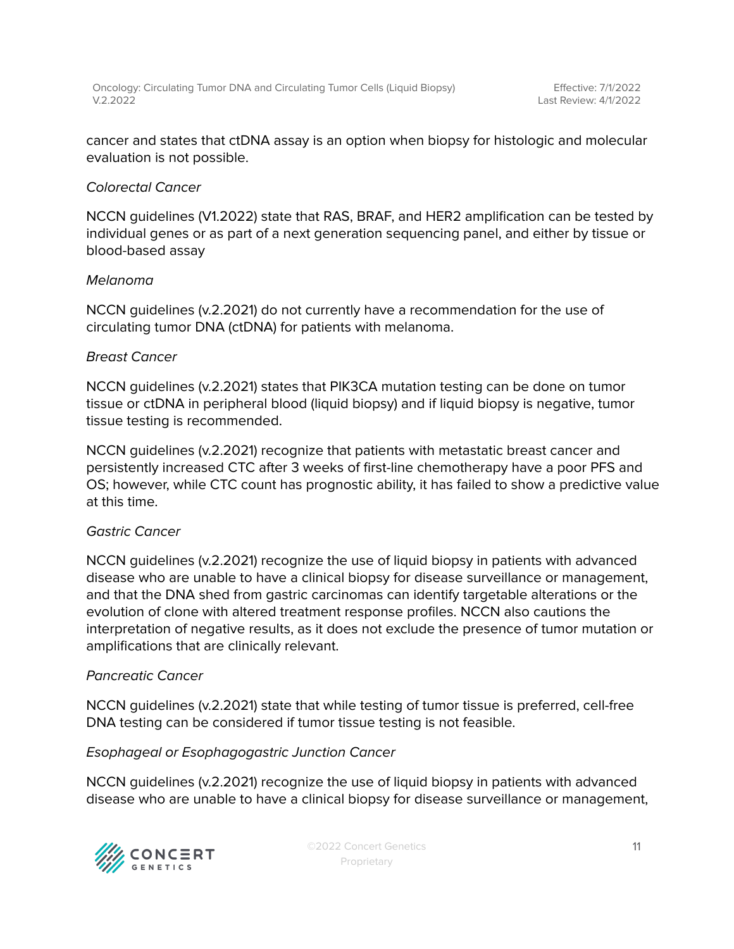cancer and states that ctDNA assay is an option when biopsy for histologic and molecular evaluation is not possible.

### Colorectal Cancer

NCCN guidelines (V1.2022) state that RAS, BRAF, and HER2 amplification can be tested by individual genes or as part of a next generation sequencing panel, and either by tissue or blood-based assay

### Melanoma

NCCN guidelines (v.2.2021) do not currently have a recommendation for the use of circulating tumor DNA (ctDNA) for patients with melanoma.

### Breast Cancer

NCCN guidelines (v.2.2021) states that PIK3CA mutation testing can be done on tumor tissue or ctDNA in peripheral blood (liquid biopsy) and if liquid biopsy is negative, tumor tissue testing is recommended.

NCCN guidelines (v.2.2021) recognize that patients with metastatic breast cancer and persistently increased CTC after 3 weeks of first-line chemotherapy have a poor PFS and OS; however, while CTC count has prognostic ability, it has failed to show a predictive value at this time.

### Gastric Cancer

NCCN guidelines (v.2.2021) recognize the use of liquid biopsy in patients with advanced disease who are unable to have a clinical biopsy for disease surveillance or management, and that the DNA shed from gastric carcinomas can identify targetable alterations or the evolution of clone with altered treatment response profiles. NCCN also cautions the interpretation of negative results, as it does not exclude the presence of tumor mutation or amplifications that are clinically relevant.

### Pancreatic Cancer

NCCN guidelines (v.2.2021) state that while testing of tumor tissue is preferred, cell-free DNA testing can be considered if tumor tissue testing is not feasible.

### Esophageal or Esophagogastric Junction Cancer

NCCN guidelines (v.2.2021) recognize the use of liquid biopsy in patients with advanced disease who are unable to have a clinical biopsy for disease surveillance or management,

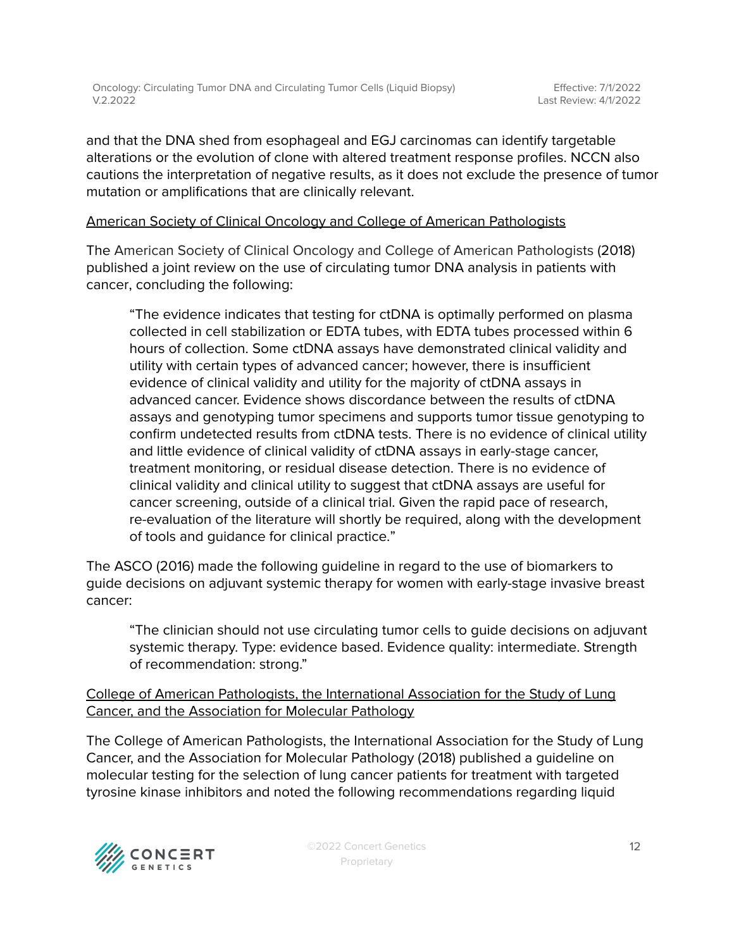and that the DNA shed from esophageal and EGJ carcinomas can identify targetable alterations or the evolution of clone with altered treatment response profiles. NCCN also cautions the interpretation of negative results, as it does not exclude the presence of tumor mutation or amplifications that are clinically relevant.

### American Society of Clinical Oncology and College of American Pathologists

The American Society of Clinical Oncology and College of American Pathologists (2018) published a joint review on the use of circulating tumor DNA analysis in patients with cancer, concluding the following:

"The evidence indicates that testing for ctDNA is optimally performed on plasma collected in cell stabilization or EDTA tubes, with EDTA tubes processed within 6 hours of collection. Some ctDNA assays have demonstrated clinical validity and utility with certain types of advanced cancer; however, there is insufficient evidence of clinical validity and utility for the majority of ctDNA assays in advanced cancer. Evidence shows discordance between the results of ctDNA assays and genotyping tumor specimens and supports tumor tissue genotyping to confirm undetected results from ctDNA tests. There is no evidence of clinical utility and little evidence of clinical validity of ctDNA assays in early-stage cancer, treatment monitoring, or residual disease detection. There is no evidence of clinical validity and clinical utility to suggest that ctDNA assays are useful for cancer screening, outside of a clinical trial. Given the rapid pace of research, re-evaluation of the literature will shortly be required, along with the development of tools and guidance for clinical practice."

The ASCO (2016) made the following guideline in regard to the use of biomarkers to guide decisions on adjuvant systemic therapy for women with early-stage invasive breast cancer:

"The clinician should not use circulating tumor cells to guide decisions on adjuvant systemic therapy. Type: evidence based. Evidence quality: intermediate. Strength of recommendation: strong."

College of American Pathologists, the International Association for the Study of Lung Cancer, and the Association for Molecular Pathology

The College of American Pathologists, the International Association for the Study of Lung Cancer, and the Association for Molecular Pathology (2018) published a guideline on molecular testing for the selection of lung cancer patients for treatment with targeted tyrosine kinase inhibitors and noted the following recommendations regarding liquid

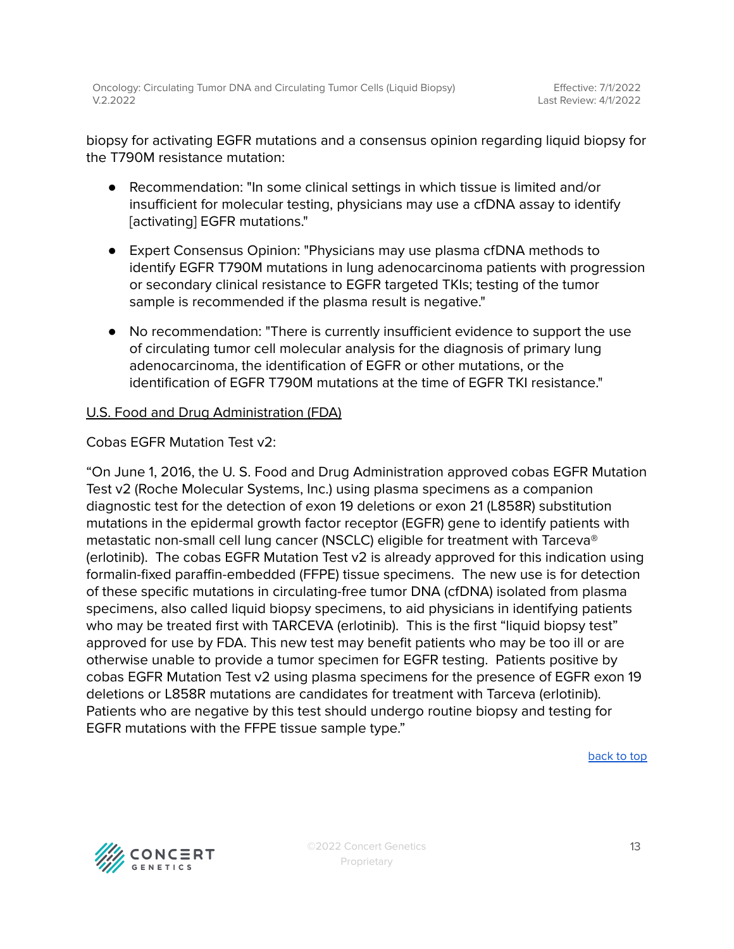biopsy for activating EGFR mutations and a consensus opinion regarding liquid biopsy for the T790M resistance mutation:

- Recommendation: "In some clinical settings in which tissue is limited and/or insufficient for molecular testing, physicians may use a cfDNA assay to identify [activating] EGFR mutations."
- Expert Consensus Opinion: "Physicians may use plasma cfDNA methods to identify EGFR T790M mutations in lung adenocarcinoma patients with progression or secondary clinical resistance to EGFR targeted TKIs; testing of the tumor sample is recommended if the plasma result is negative."
- No recommendation: "There is currently insufficient evidence to support the use of circulating tumor cell molecular analysis for the diagnosis of primary lung adenocarcinoma, the identification of EGFR or other mutations, or the identification of EGFR T790M mutations at the time of EGFR TKI resistance."

### U.S. Food and Drug Administration (FDA)

Cobas EGFR Mutation Test v2:

"On June 1, 2016, the U. S. Food and Drug Administration approved cobas EGFR Mutation Test v2 (Roche Molecular Systems, Inc.) using plasma specimens as a companion diagnostic test for the detection of exon 19 deletions or exon 21 (L858R) substitution mutations in the epidermal growth factor receptor (EGFR) gene to identify patients with metastatic non-small cell lung cancer (NSCLC) eligible for treatment with Tarceva® (erlotinib). The cobas EGFR Mutation Test v2 is already approved for this indication using formalin-fixed paraffin-embedded (FFPE) tissue specimens. The new use is for detection of these specific mutations in circulating-free tumor DNA (cfDNA) isolated from plasma specimens, also called liquid biopsy specimens, to aid physicians in identifying patients who may be treated first with TARCEVA (erlotinib). This is the first "liquid biopsy test" approved for use by FDA. This new test may benefit patients who may be too ill or are otherwise unable to provide a tumor specimen for EGFR testing. Patients positive by cobas EGFR Mutation Test v2 using plasma specimens for the presence of EGFR exon 19 deletions or L858R mutations are candidates for treatment with Tarceva (erlotinib). Patients who are negative by this test should undergo routine biopsy and testing for EGFR mutations with the FFPE tissue sample type."

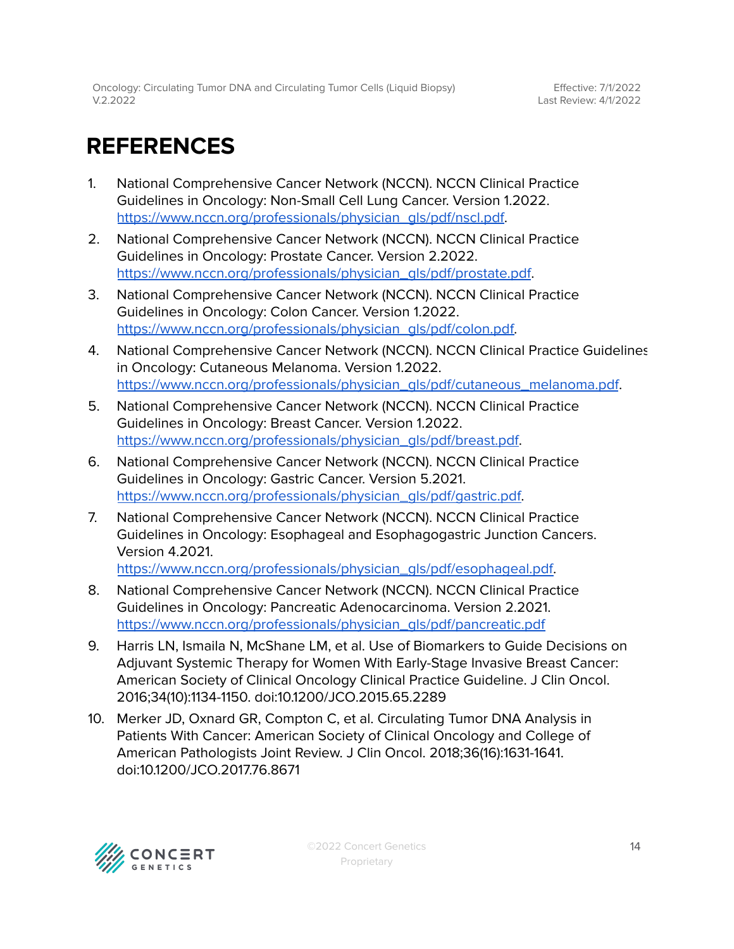# <span id="page-13-0"></span>**REFERENCES**

- 1. National Comprehensive Cancer Network (NCCN). NCCN Clinical Practice Guidelines in Oncology: Non-Small Cell Lung Cancer. Version 1.2022. [https://www.nccn.org/professionals/physician\\_gls/pdf/nscl.pdf.](https://www.nccn.org/professionals/physician_gls/pdf/nscl.pdf)
- 2. National Comprehensive Cancer Network (NCCN). NCCN Clinical Practice Guidelines in Oncology: Prostate Cancer. Version 2.2022. [https://www.nccn.org/professionals/physician\\_gls/pdf/prostate.pdf](https://www.nccn.org/professionals/physician_gls/pdf/prostate.pdf).
- 3. National Comprehensive Cancer Network (NCCN). NCCN Clinical Practice Guidelines in Oncology: Colon Cancer. Version 1.2022. [https://www.nccn.org/professionals/physician\\_gls/pdf/colon.pdf.](https://www.nccn.org/professionals/physician_gls/pdf/colon.pdf)
- 4. National Comprehensive Cancer Network (NCCN). NCCN Clinical Practice Guidelines in Oncology: Cutaneous Melanoma. Version 1.2022. [https://www.nccn.org/professionals/physician\\_gls/pdf/cutaneous\\_melanoma.pdf](https://www.nccn.org/professionals/physician_gls/pdf/cutaneous_melanoma.pdf).
- 5. National Comprehensive Cancer Network (NCCN). NCCN Clinical Practice Guidelines in Oncology: Breast Cancer. Version 1.2022. [https://www.nccn.org/professionals/physician\\_gls/pdf/breast.pdf.](https://www.nccn.org/professionals/physician_gls/pdf/breast.pdf)
- 6. National Comprehensive Cancer Network (NCCN). NCCN Clinical Practice Guidelines in Oncology: Gastric Cancer. Version 5.2021. [https://www.nccn.org/professionals/physician\\_gls/pdf/gastric.pdf.](https://www.nccn.org/professionals/physician_gls/pdf/gastric.pdf)
- 7. National Comprehensive Cancer Network (NCCN). NCCN Clinical Practice Guidelines in Oncology: Esophageal and Esophagogastric Junction Cancers. Version 4.2021.
	- [https://www.nccn.org/professionals/physician\\_gls/pdf/esophageal.pdf.](https://www.nccn.org/professionals/physician_gls/pdf/esophageal.pdf)
- 8. National Comprehensive Cancer Network (NCCN). NCCN Clinical Practice Guidelines in Oncology: Pancreatic Adenocarcinoma. Version 2.2021. [https://www.nccn.org/professionals/physician\\_gls/pdf/pancreatic.pdf](https://www.nccn.org/professionals/physician_gls/pdf/pancreatic.pdf)
- 9. Harris LN, Ismaila N, McShane LM, et al. Use of Biomarkers to Guide Decisions on Adjuvant Systemic Therapy for Women With Early-Stage Invasive Breast Cancer: American Society of Clinical Oncology Clinical Practice Guideline. J Clin Oncol. 2016;34(10):1134-1150. doi:10.1200/JCO.2015.65.2289
- 10. Merker JD, Oxnard GR, Compton C, et al. Circulating Tumor DNA Analysis in Patients With Cancer: American Society of Clinical Oncology and College of American Pathologists Joint Review. J Clin Oncol. 2018;36(16):1631-1641. doi:10.1200/JCO.2017.76.8671